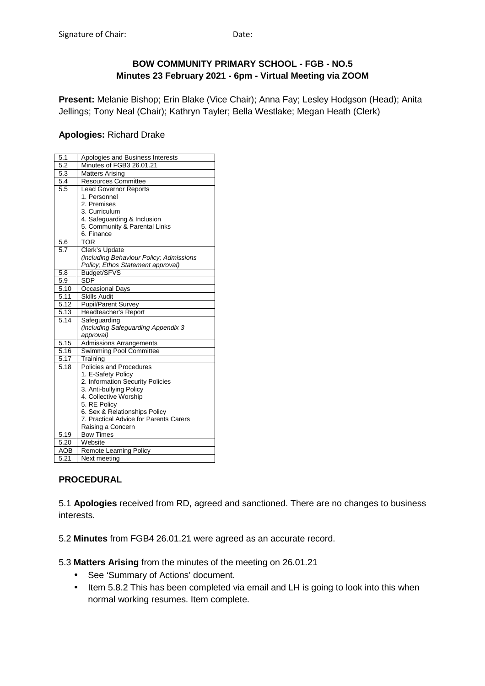### **BOW COMMUNITY PRIMARY SCHOOL - FGB - NO.5 Minutes 23 February 2021 - 6pm - Virtual Meeting via ZOOM**

**Present:** Melanie Bishop; Erin Blake (Vice Chair); Anna Fay; Lesley Hodgson (Head); Anita Jellings; Tony Neal (Chair); Kathryn Tayler; Bella Westlake; Megan Heath (Clerk)

### **Apologies:** Richard Drake

| 5.1        | Apologies and Business Interests        |
|------------|-----------------------------------------|
| 5.2        | Minutes of FGB3 26.01.21                |
| 5.3        | <b>Matters Arising</b>                  |
| 5.4        | Resources Committee                     |
| 5.5        | <b>Lead Governor Reports</b>            |
|            | 1. Personnel                            |
|            | 2. Premises                             |
|            | 3. Curriculum                           |
|            | 4. Safeguarding & Inclusion             |
|            | 5. Community & Parental Links           |
|            | 6. Finance                              |
| 5.6        | <b>TOR</b>                              |
| 5.7        | Clerk's Update                          |
|            | (including Behaviour Policy; Admissions |
|            | Policy; Ethos Statement approval)       |
| 5.8        | Budget/SFVS                             |
| 5.9        | <b>SDP</b>                              |
| 5.10       | <b>Occasional Days</b>                  |
| 5.11       | <b>Skills Audit</b>                     |
| 5.12       | <b>Pupil/Parent Survey</b>              |
| 5.13       | Headteacher's Report                    |
| 5.14       | Safequarding                            |
|            | (including Safeguarding Appendix 3      |
|            | approval)                               |
| 5.15       | <b>Admissions Arrangements</b>          |
| 5.16       | <b>Swimming Pool Committee</b>          |
| 5.17       | Training                                |
| 5.18       | Policies and Procedures                 |
|            | 1. E-Safety Policy                      |
|            | 2. Information Security Policies        |
|            | 3. Anti-bullying Policy                 |
|            | 4. Collective Worship                   |
|            | 5. RE Policy                            |
|            | 6. Sex & Relationships Policy           |
|            | 7. Practical Advice for Parents Carers  |
|            | Raising a Concern                       |
| 5.19       | <b>Bow Times</b>                        |
| 5.20       | Website                                 |
| <b>AOB</b> | Remote Learning Policy                  |
| 5.21       | Next meeting                            |

### **PROCEDURAL**

5.1 **Apologies** received from RD, agreed and sanctioned. There are no changes to business interests.

5.2 **Minutes** from FGB4 26.01.21 were agreed as an accurate record.

5.3 **Matters Arising** from the minutes of the meeting on 26.01.21

- See 'Summary of Actions' document.
- Item 5.8.2 This has been completed via email and LH is going to look into this when normal working resumes. Item complete.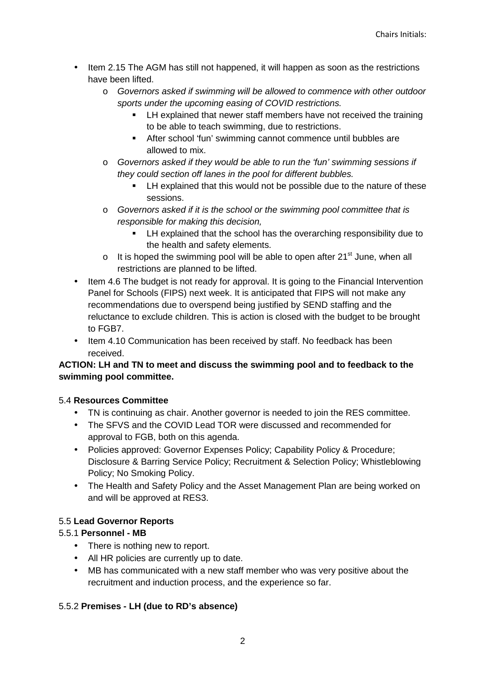- Item 2.15 The AGM has still not happened, it will happen as soon as the restrictions have been lifted.
	- o Governors asked if swimming will be allowed to commence with other outdoor sports under the upcoming easing of COVID restrictions.
		- **EXECT** LH explained that newer staff members have not received the training to be able to teach swimming, due to restrictions.
		- After school 'fun' swimming cannot commence until bubbles are allowed to mix.
	- $\circ$  Governors asked if they would be able to run the 'fun' swimming sessions if they could section off lanes in the pool for different bubbles.
		- **EXECUTE:** LH explained that this would not be possible due to the nature of these sessions.
	- o Governors asked if it is the school or the swimming pool committee that is responsible for making this decision,
		- LH explained that the school has the overarching responsibility due to the health and safety elements.
	- $\circ$  It is hoped the swimming pool will be able to open after 21<sup>st</sup> June, when all restrictions are planned to be lifted.
- Item 4.6 The budget is not ready for approval. It is going to the Financial Intervention Panel for Schools (FIPS) next week. It is anticipated that FIPS will not make any recommendations due to overspend being justified by SEND staffing and the reluctance to exclude children. This is action is closed with the budget to be brought to FGB7.
- Item 4.10 Communication has been received by staff. No feedback has been received.

## **ACTION: LH and TN to meet and discuss the swimming pool and to feedback to the swimming pool committee.**

## 5.4 **Resources Committee**

- TN is continuing as chair. Another governor is needed to join the RES committee.
- The SFVS and the COVID Lead TOR were discussed and recommended for approval to FGB, both on this agenda.
- Policies approved: Governor Expenses Policy; Capability Policy & Procedure; Disclosure & Barring Service Policy; Recruitment & Selection Policy; Whistleblowing Policy; No Smoking Policy.
- The Health and Safety Policy and the Asset Management Plan are being worked on and will be approved at RES3.

# 5.5 **Lead Governor Reports**

## 5.5.1 **Personnel - MB**

- There is nothing new to report.
- All HR policies are currently up to date.
- MB has communicated with a new staff member who was very positive about the recruitment and induction process, and the experience so far.

## 5.5.2 **Premises - LH (due to RD's absence)**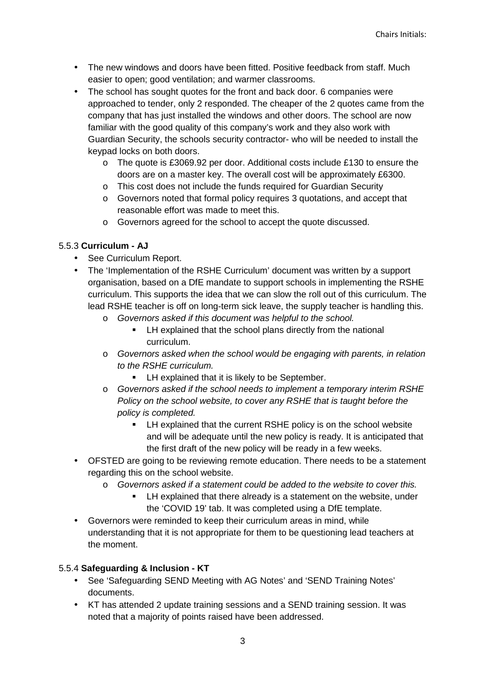- The new windows and doors have been fitted. Positive feedback from staff. Much easier to open; good ventilation; and warmer classrooms.
- The school has sought quotes for the front and back door. 6 companies were approached to tender, only 2 responded. The cheaper of the 2 quotes came from the company that has just installed the windows and other doors. The school are now familiar with the good quality of this company's work and they also work with Guardian Security, the schools security contractor- who will be needed to install the keypad locks on both doors.
	- $\circ$  The quote is £3069.92 per door. Additional costs include £130 to ensure the doors are on a master key. The overall cost will be approximately £6300.
	- o This cost does not include the funds required for Guardian Security
	- o Governors noted that formal policy requires 3 quotations, and accept that reasonable effort was made to meet this.
	- o Governors agreed for the school to accept the quote discussed.

### 5.5.3 **Curriculum - AJ**

- See Curriculum Report.
- The 'Implementation of the RSHE Curriculum' document was written by a support organisation, based on a DfE mandate to support schools in implementing the RSHE curriculum. This supports the idea that we can slow the roll out of this curriculum. The lead RSHE teacher is off on long-term sick leave, the supply teacher is handling this.
	- o Governors asked if this document was helpful to the school.
		- **EXECT** LH explained that the school plans directly from the national curriculum.
	- o Governors asked when the school would be engaging with parents, in relation to the RSHE curriculum.
		- **EXECUTE:** LH explained that it is likely to be September.
	- o Governors asked if the school needs to implement a temporary interim RSHE Policy on the school website, to cover any RSHE that is taught before the policy is completed.
		- **EXECUTE:** LH explained that the current RSHE policy is on the school website and will be adequate until the new policy is ready. It is anticipated that the first draft of the new policy will be ready in a few weeks.
- OFSTED are going to be reviewing remote education. There needs to be a statement regarding this on the school website.
	- o Governors asked if a statement could be added to the website to cover this.
		- LH explained that there already is a statement on the website, under the 'COVID 19' tab. It was completed using a DfE template.
- Governors were reminded to keep their curriculum areas in mind, while understanding that it is not appropriate for them to be questioning lead teachers at the moment.

### 5.5.4 **Safeguarding & Inclusion - KT**

- See 'Safeguarding SEND Meeting with AG Notes' and 'SEND Training Notes' documents.
- KT has attended 2 update training sessions and a SEND training session. It was noted that a majority of points raised have been addressed.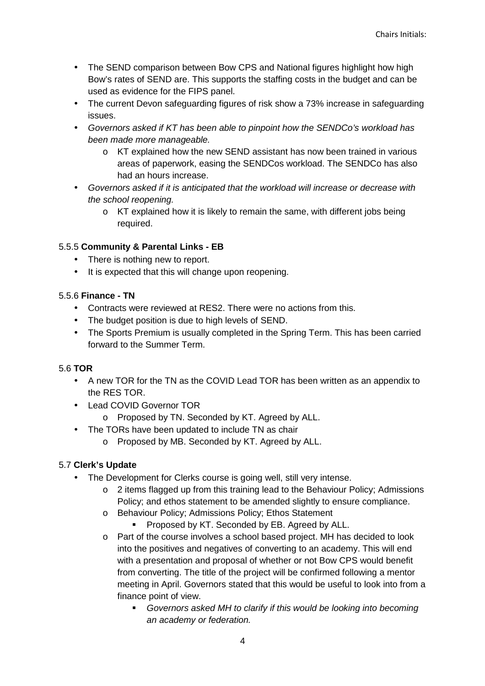- The SEND comparison between Bow CPS and National figures highlight how high Bow's rates of SEND are. This supports the staffing costs in the budget and can be used as evidence for the FIPS panel.
- The current Devon safeguarding figures of risk show a 73% increase in safeguarding issues.
- Governors asked if KT has been able to pinpoint how the SENDCo's workload has been made more manageable.
	- o KT explained how the new SEND assistant has now been trained in various areas of paperwork, easing the SENDCos workload. The SENDCo has also had an hours increase.
- Governors asked if it is anticipated that the workload will increase or decrease with the school reopening.
	- o KT explained how it is likely to remain the same, with different jobs being required.

## 5.5.5 **Community & Parental Links - EB**

- There is nothing new to report.
- It is expected that this will change upon reopening.

## 5.5.6 **Finance - TN**

- Contracts were reviewed at RES2. There were no actions from this.
- The budget position is due to high levels of SEND.
- The Sports Premium is usually completed in the Spring Term. This has been carried forward to the Summer Term.

# 5.6 **TOR**

- A new TOR for the TN as the COVID Lead TOR has been written as an appendix to the RES TOR.
- Lead COVID Governor TOR
	- o Proposed by TN. Seconded by KT. Agreed by ALL.
- The TORs have been updated to include TN as chair
	- o Proposed by MB. Seconded by KT. Agreed by ALL.

# 5.7 **Clerk's Update**

- The Development for Clerks course is going well, still very intense.
	- o 2 items flagged up from this training lead to the Behaviour Policy; Admissions Policy; and ethos statement to be amended slightly to ensure compliance.
	- o Behaviour Policy; Admissions Policy; Ethos Statement
		- **Proposed by KT. Seconded by EB. Agreed by ALL.**
	- o Part of the course involves a school based project. MH has decided to look into the positives and negatives of converting to an academy. This will end with a presentation and proposal of whether or not Bow CPS would benefit from converting. The title of the project will be confirmed following a mentor meeting in April. Governors stated that this would be useful to look into from a finance point of view.
		- Governors asked MH to clarify if this would be looking into becoming an academy or federation.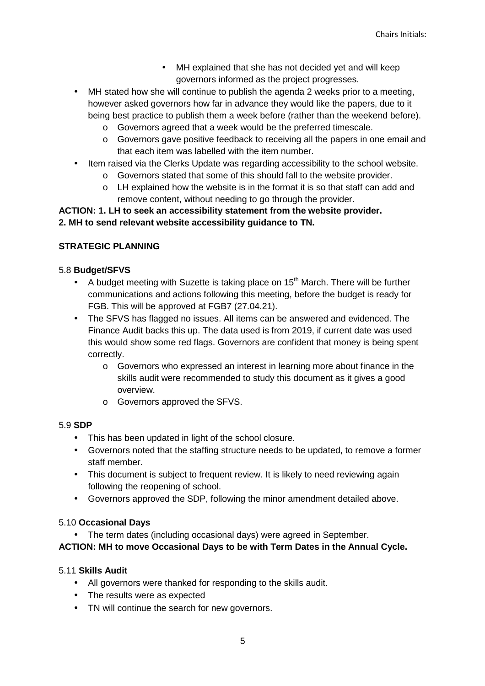- MH explained that she has not decided yet and will keep governors informed as the project progresses.
- MH stated how she will continue to publish the agenda 2 weeks prior to a meeting, however asked governors how far in advance they would like the papers, due to it being best practice to publish them a week before (rather than the weekend before).
	- o Governors agreed that a week would be the preferred timescale.
	- $\circ$  Governors gave positive feedback to receiving all the papers in one email and that each item was labelled with the item number.
- Item raised via the Clerks Update was regarding accessibility to the school website.
	- o Governors stated that some of this should fall to the website provider.
	- o LH explained how the website is in the format it is so that staff can add and remove content, without needing to go through the provider.

### **ACTION: 1. LH to seek an accessibility statement from the website provider. 2. MH to send relevant website accessibility guidance to TN.**

### **STRATEGIC PLANNING**

#### 5.8 **Budget/SFVS**

- A budget meeting with Suzette is taking place on  $15<sup>th</sup>$  March. There will be further communications and actions following this meeting, before the budget is ready for FGB. This will be approved at FGB7 (27.04.21).
- The SFVS has flagged no issues. All items can be answered and evidenced. The Finance Audit backs this up. The data used is from 2019, if current date was used this would show some red flags. Governors are confident that money is being spent correctly.
	- o Governors who expressed an interest in learning more about finance in the skills audit were recommended to study this document as it gives a good overview.
	- o Governors approved the SFVS.

#### 5.9 **SDP**

- This has been updated in light of the school closure.
- Governors noted that the staffing structure needs to be updated, to remove a former staff member.
- This document is subject to frequent review. It is likely to need reviewing again following the reopening of school.
- Governors approved the SDP, following the minor amendment detailed above.

#### 5.10 **Occasional Days**

• The term dates (including occasional days) were agreed in September.

#### **ACTION: MH to move Occasional Days to be with Term Dates in the Annual Cycle.**

#### 5.11 **Skills Audit**

- All governors were thanked for responding to the skills audit.
- The results were as expected
- TN will continue the search for new governors.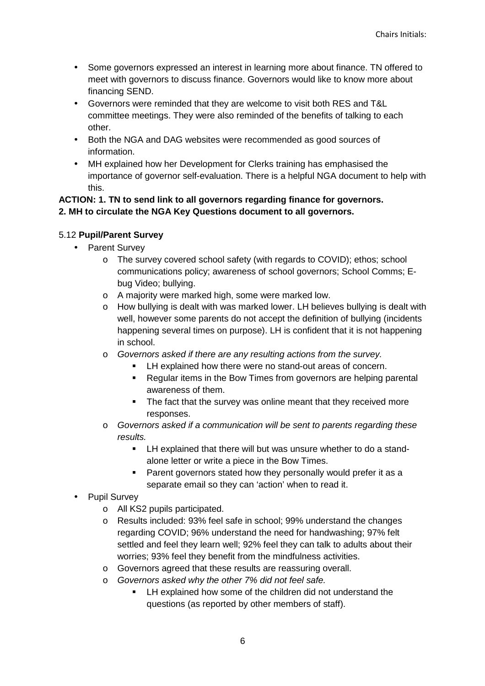- Some governors expressed an interest in learning more about finance. TN offered to meet with governors to discuss finance. Governors would like to know more about financing SEND.
- Governors were reminded that they are welcome to visit both RES and T&L committee meetings. They were also reminded of the benefits of talking to each other.
- Both the NGA and DAG websites were recommended as good sources of information.
- MH explained how her Development for Clerks training has emphasised the importance of governor self-evaluation. There is a helpful NGA document to help with this.

#### **ACTION: 1. TN to send link to all governors regarding finance for governors. 2. MH to circulate the NGA Key Questions document to all governors.**

## 5.12 **Pupil/Parent Survey**

- Parent Survey
	- o The survey covered school safety (with regards to COVID); ethos; school communications policy; awareness of school governors; School Comms; Ebug Video; bullying.
	- o A majority were marked high, some were marked low.
	- o How bullying is dealt with was marked lower. LH believes bullying is dealt with well, however some parents do not accept the definition of bullying (incidents happening several times on purpose). LH is confident that it is not happening in school.
	- o Governors asked if there are any resulting actions from the survey.
		- **-** LH explained how there were no stand-out areas of concern.
		- **Regular items in the Bow Times from governors are helping parental** awareness of them.
		- The fact that the survey was online meant that they received more responses.
	- o Governors asked if a communication will be sent to parents regarding these results.
		- **EXP** LH explained that there will but was unsure whether to do a standalone letter or write a piece in the Bow Times.
		- **Parent governors stated how they personally would prefer it as a** separate email so they can 'action' when to read it.
- Pupil Survey
	- o All KS2 pupils participated.
	- o Results included: 93% feel safe in school; 99% understand the changes regarding COVID; 96% understand the need for handwashing; 97% felt settled and feel they learn well; 92% feel they can talk to adults about their worries; 93% feel they benefit from the mindfulness activities.
	- o Governors agreed that these results are reassuring overall.
	- o Governors asked why the other 7% did not feel safe.
		- **EXECT** LH explained how some of the children did not understand the questions (as reported by other members of staff).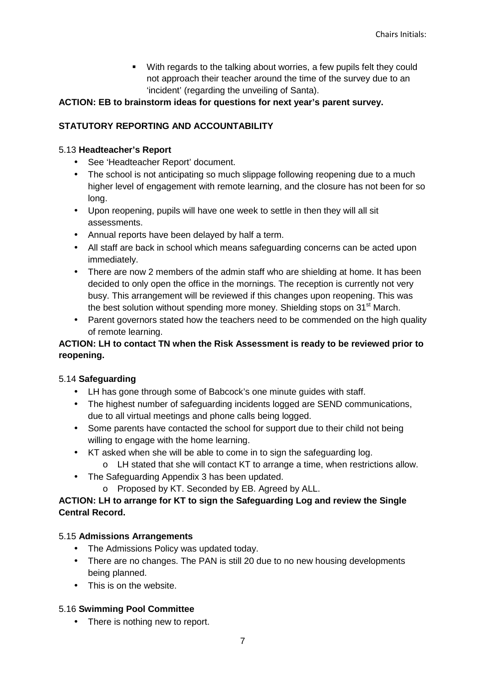**With regards to the talking about worries, a few pupils felt they could** not approach their teacher around the time of the survey due to an 'incident' (regarding the unveiling of Santa).

### **ACTION: EB to brainstorm ideas for questions for next year's parent survey.**

### **STATUTORY REPORTING AND ACCOUNTABILITY**

### 5.13 **Headteacher's Report**

- See 'Headteacher Report' document.
- The school is not anticipating so much slippage following reopening due to a much higher level of engagement with remote learning, and the closure has not been for so long.
- Upon reopening, pupils will have one week to settle in then they will all sit assessments.
- Annual reports have been delayed by half a term.
- All staff are back in school which means safeguarding concerns can be acted upon immediately.
- There are now 2 members of the admin staff who are shielding at home. It has been decided to only open the office in the mornings. The reception is currently not very busy. This arrangement will be reviewed if this changes upon reopening. This was the best solution without spending more money. Shielding stops on  $31<sup>st</sup>$  March.
- Parent governors stated how the teachers need to be commended on the high quality of remote learning.

### **ACTION: LH to contact TN when the Risk Assessment is ready to be reviewed prior to reopening.**

### 5.14 **Safeguarding**

- LH has gone through some of Babcock's one minute guides with staff.
- The highest number of safeguarding incidents logged are SEND communications, due to all virtual meetings and phone calls being logged.
- Some parents have contacted the school for support due to their child not being willing to engage with the home learning.
- KT asked when she will be able to come in to sign the safeguarding log.
	- o LH stated that she will contact KT to arrange a time, when restrictions allow.
- The Safeguarding Appendix 3 has been updated.
	- o Proposed by KT. Seconded by EB. Agreed by ALL.

### **ACTION: LH to arrange for KT to sign the Safeguarding Log and review the Single Central Record.**

### 5.15 **Admissions Arrangements**

- The Admissions Policy was updated today.
- There are no changes. The PAN is still 20 due to no new housing developments being planned.
- This is on the website.

### 5.16 **Swimming Pool Committee**

• There is nothing new to report.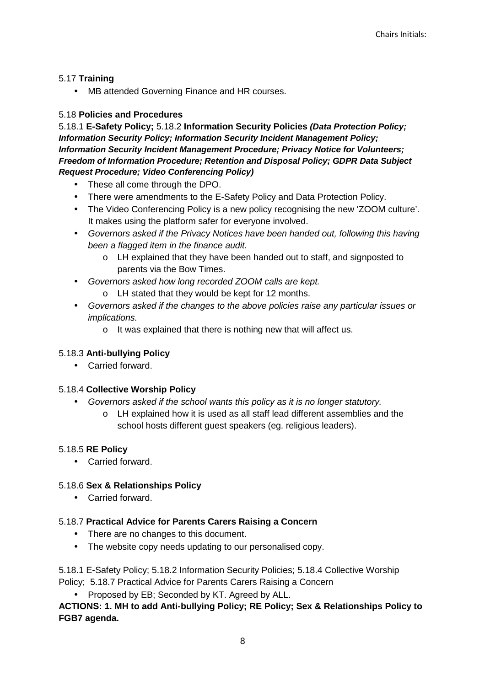#### 5.17 **Training**

MB attended Governing Finance and HR courses.

### 5.18 **Policies and Procedures**

5.18.1 **E-Safety Policy;** 5.18.2 **Information Security Policies (Data Protection Policy; Information Security Policy; Information Security Incident Management Policy; Information Security Incident Management Procedure; Privacy Notice for Volunteers; Freedom of Information Procedure; Retention and Disposal Policy; GDPR Data Subject Request Procedure; Video Conferencing Policy)** 

- These all come through the DPO.
- There were amendments to the E-Safety Policy and Data Protection Policy.
- The Video Conferencing Policy is a new policy recognising the new 'ZOOM culture'. It makes using the platform safer for everyone involved.
- Governors asked if the Privacy Notices have been handed out, following this having been a flagged item in the finance audit.
	- o LH explained that they have been handed out to staff, and signposted to parents via the Bow Times.
- Governors asked how long recorded ZOOM calls are kept.
	- o LH stated that they would be kept for 12 months.
- Governors asked if the changes to the above policies raise any particular issues or implications.
	- o It was explained that there is nothing new that will affect us.

#### 5.18.3 **Anti-bullying Policy**

• Carried forward.

#### 5.18.4 **Collective Worship Policy**

- Governors asked if the school wants this policy as it is no longer statutory.
	- o LH explained how it is used as all staff lead different assemblies and the school hosts different guest speakers (eg. religious leaders).

#### 5.18.5 **RE Policy**

• Carried forward.

#### 5.18.6 **Sex & Relationships Policy**

• Carried forward.

#### 5.18.7 **Practical Advice for Parents Carers Raising a Concern**

- There are no changes to this document.
- The website copy needs updating to our personalised copy.

5.18.1 E-Safety Policy; 5.18.2 Information Security Policies; 5.18.4 Collective Worship Policy; 5.18.7 Practical Advice for Parents Carers Raising a Concern

• Proposed by EB; Seconded by KT. Agreed by ALL.

## **ACTIONS: 1. MH to add Anti-bullying Policy; RE Policy; Sex & Relationships Policy to FGB7 agenda.**